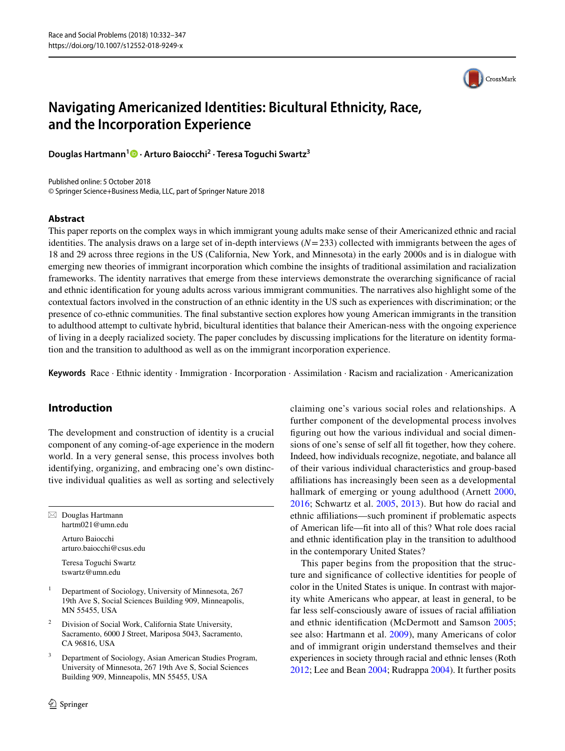

# **Navigating Americanized Identities: Bicultural Ethnicity, Race, and the Incorporation Experience**

**Douglas Hartmann[1](http://orcid.org/0000-0002-6436-2209) · Arturo Baiocchi2 · Teresa Toguchi Swartz<sup>3</sup>**

Published online: 5 October 2018 © Springer Science+Business Media, LLC, part of Springer Nature 2018

#### **Abstract**

This paper reports on the complex ways in which immigrant young adults make sense of their Americanized ethnic and racial identities. The analysis draws on a large set of in-depth interviews  $(N=233)$  collected with immigrants between the ages of 18 and 29 across three regions in the US (California, New York, and Minnesota) in the early 2000s and is in dialogue with emerging new theories of immigrant incorporation which combine the insights of traditional assimilation and racialization frameworks. The identity narratives that emerge from these interviews demonstrate the overarching significance of racial and ethnic identification for young adults across various immigrant communities. The narratives also highlight some of the contextual factors involved in the construction of an ethnic identity in the US such as experiences with discrimination; or the presence of co-ethnic communities. The final substantive section explores how young American immigrants in the transition to adulthood attempt to cultivate hybrid, bicultural identities that balance their American-ness with the ongoing experience of living in a deeply racialized society. The paper concludes by discussing implications for the literature on identity formation and the transition to adulthood as well as on the immigrant incorporation experience.

**Keywords** Race · Ethnic identity · Immigration · Incorporation · Assimilation · Racism and racialization · Americanization

## **Introduction**

The development and construction of identity is a crucial component of any coming-of-age experience in the modern world. In a very general sense, this process involves both identifying, organizing, and embracing one's own distinctive individual qualities as well as sorting and selectively

 $\boxtimes$  Douglas Hartmann hartm021@umn.edu

> Arturo Baiocchi arturo.baiocchi@csus.edu

Teresa Toguchi Swartz tswartz@umn.edu

- <sup>1</sup> Department of Sociology, University of Minnesota, 267 19th Ave S, Social Sciences Building 909, Minneapolis, MN 55455, USA
- <sup>2</sup> Division of Social Work, California State University, Sacramento, 6000 J Street, Mariposa 5043, Sacramento, CA 96816, USA
- Department of Sociology, Asian American Studies Program, University of Minnesota, 267 19th Ave S, Social Sciences Building 909, Minneapolis, MN 55455, USA

claiming one's various social roles and relationships. A further component of the developmental process involves figuring out how the various individual and social dimensions of one's sense of self all fit together, how they cohere. Indeed, how individuals recognize, negotiate, and balance all of their various individual characteristics and group-based affiliations has increasingly been seen as a developmental hallmark of emerging or young adulthood (Arnett [2000,](#page-13-0) [2016;](#page-13-1) Schwartz et al. [2005](#page-14-0), [2013](#page-14-1)). But how do racial and ethnic affiliations—such prominent if problematic aspects of American life—fit into all of this? What role does racial and ethnic identification play in the transition to adulthood in the contemporary United States?

This paper begins from the proposition that the structure and significance of collective identities for people of color in the United States is unique. In contrast with majority white Americans who appear, at least in general, to be far less self-consciously aware of issues of racial affiliation and ethnic identification (McDermott and Samson [2005](#page-14-2); see also: Hartmann et al. [2009](#page-13-2)), many Americans of color and of immigrant origin understand themselves and their experiences in society through racial and ethnic lenses (Roth [2012](#page-14-3); Lee and Bean [2004](#page-14-4); Rudrappa [2004](#page-14-5)). It further posits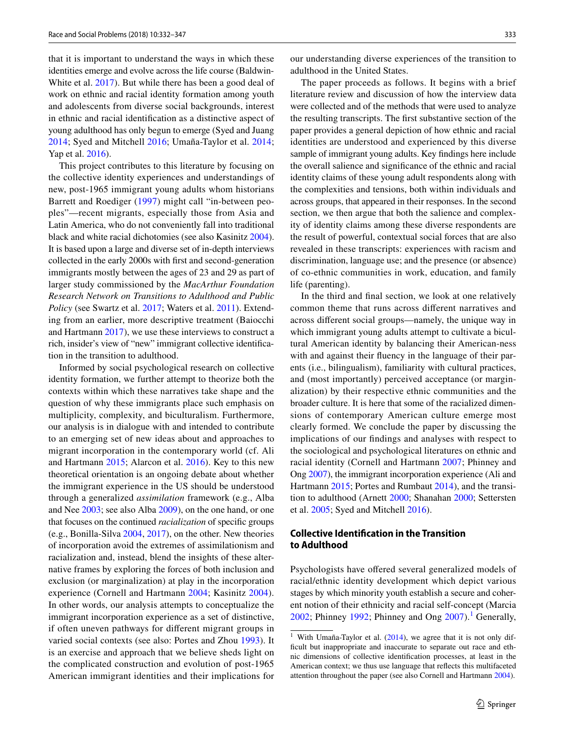that it is important to understand the ways in which these identities emerge and evolve across the life course (Baldwin-White et al. [2017\)](#page-13-3). But while there has been a good deal of work on ethnic and racial identity formation among youth and adolescents from diverse social backgrounds, interest in ethnic and racial identification as a distinctive aspect of young adulthood has only begun to emerge (Syed and Juang [2014](#page-14-6); Syed and Mitchell [2016;](#page-14-7) Umaña-Taylor et al. [2014](#page-14-8); Yap et al. [2016\)](#page-15-0).

This project contributes to this literature by focusing on the collective identity experiences and understandings of new, post-1965 immigrant young adults whom historians Barrett and Roediger ([1997\)](#page-13-4) might call "in-between peoples"—recent migrants, especially those from Asia and Latin America, who do not conveniently fall into traditional black and white racial dichotomies (see also Kasinitz [2004](#page-13-5)). It is based upon a large and diverse set of in-depth interviews collected in the early 2000s with first and second-generation immigrants mostly between the ages of 23 and 29 as part of larger study commissioned by the *MacArthur Foundation Research Network on Transitions to Adulthood and Public Policy* (see Swartz et al. [2017;](#page-14-9) Waters et al. [2011\)](#page-15-1). Extending from an earlier, more descriptive treatment (Baiocchi and Hartmann [2017\)](#page-13-6), we use these interviews to construct a rich, insider's view of "new" immigrant collective identification in the transition to adulthood.

Informed by social psychological research on collective identity formation, we further attempt to theorize both the contexts within which these narratives take shape and the question of why these immigrants place such emphasis on multiplicity, complexity, and biculturalism. Furthermore, our analysis is in dialogue with and intended to contribute to an emerging set of new ideas about and approaches to migrant incorporation in the contemporary world (cf. Ali and Hartmann [2015](#page-13-7); Alarcon et al. [2016](#page-13-8)). Key to this new theoretical orientation is an ongoing debate about whether the immigrant experience in the US should be understood through a generalized *assimilation* framework (e.g., Alba and Nee [2003](#page-13-9); see also Alba [2009](#page-13-10)), on the one hand, or one that focuses on the continued *racialization* of specific groups (e.g., Bonilla-Silva [2004](#page-13-11), [2017](#page-13-12)), on the other. New theories of incorporation avoid the extremes of assimilationism and racialization and, instead, blend the insights of these alternative frames by exploring the forces of both inclusion and exclusion (or marginalization) at play in the incorporation experience (Cornell and Hartmann [2004](#page-13-13); Kasinitz [2004](#page-13-5)). In other words, our analysis attempts to conceptualize the immigrant incorporation experience as a set of distinctive, if often uneven pathways for different migrant groups in varied social contexts (see also: Portes and Zhou [1993](#page-14-10)). It is an exercise and approach that we believe sheds light on the complicated construction and evolution of post-1965 American immigrant identities and their implications for our understanding diverse experiences of the transition to adulthood in the United States.

The paper proceeds as follows. It begins with a brief literature review and discussion of how the interview data were collected and of the methods that were used to analyze the resulting transcripts. The first substantive section of the paper provides a general depiction of how ethnic and racial identities are understood and experienced by this diverse sample of immigrant young adults. Key findings here include the overall salience and significance of the ethnic and racial identity claims of these young adult respondents along with the complexities and tensions, both within individuals and across groups, that appeared in their responses. In the second section, we then argue that both the salience and complexity of identity claims among these diverse respondents are the result of powerful, contextual social forces that are also revealed in these transcripts: experiences with racism and discrimination, language use; and the presence (or absence) of co-ethnic communities in work, education, and family life (parenting).

In the third and final section, we look at one relatively common theme that runs across different narratives and across different social groups—namely, the unique way in which immigrant young adults attempt to cultivate a bicultural American identity by balancing their American-ness with and against their fluency in the language of their parents (i.e., bilingualism), familiarity with cultural practices, and (most importantly) perceived acceptance (or marginalization) by their respective ethnic communities and the broader culture. It is here that some of the racialized dimensions of contemporary American culture emerge most clearly formed. We conclude the paper by discussing the implications of our findings and analyses with respect to the sociological and psychological literatures on ethnic and racial identity (Cornell and Hartmann [2007](#page-13-14); Phinney and Ong [2007](#page-14-11)), the immigrant incorporation experience (Ali and Hartmann [2015](#page-13-7); Portes and Rumbaut [2014](#page-14-12)), and the transition to adulthood (Arnett [2000;](#page-13-0) Shanahan [2000;](#page-14-13) Settersten et al. [2005](#page-14-14); Syed and Mitchell [2016\)](#page-14-7).

## **Collective Identification in the Transition to Adulthood**

Psychologists have offered several generalized models of racial/ethnic identity development which depict various stages by which minority youth establish a secure and coherent notion of their ethnicity and racial self-concept (Marcia  $2002$ ; Phinney [1992;](#page-14-16) Phinney and Ong  $2007$ ).<sup>[1](#page-1-0)</sup> Generally,

<span id="page-1-0"></span><sup>&</sup>lt;sup>1</sup> With Umaña-Taylor et al.  $(2014)$  $(2014)$ , we agree that it is not only difficult but inappropriate and inaccurate to separate out race and ethnic dimensions of collective identification processes, at least in the American context; we thus use language that reflects this multifaceted attention throughout the paper (see also Cornell and Hartmann [2004](#page-13-13)).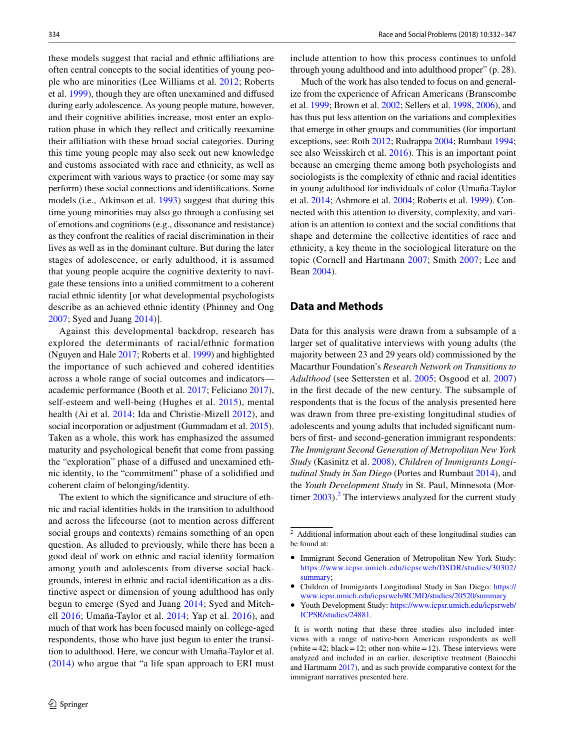these models suggest that racial and ethnic affiliations are often central concepts to the social identities of young people who are minorities (Lee Williams et al. [2012;](#page-14-17) Roberts et al. [1999\)](#page-14-18), though they are often unexamined and diffused during early adolescence. As young people mature, however, and their cognitive abilities increase, most enter an exploration phase in which they reflect and critically reexamine their affiliation with these broad social categories. During this time young people may also seek out new knowledge and customs associated with race and ethnicity, as well as experiment with various ways to practice (or some may say perform) these social connections and identifications. Some models (i.e., Atkinson et al. [1993](#page-13-15)) suggest that during this time young minorities may also go through a confusing set of emotions and cognitions (e.g., dissonance and resistance) as they confront the realities of racial discrimination in their lives as well as in the dominant culture. But during the later stages of adolescence, or early adulthood, it is assumed that young people acquire the cognitive dexterity to navigate these tensions into a unified commitment to a coherent racial ethnic identity [or what developmental psychologists describe as an achieved ethnic identity (Phinney and Ong [2007](#page-14-11); Syed and Juang [2014\)](#page-14-6)].

Against this developmental backdrop, research has explored the determinants of racial/ethnic formation (Nguyen and Hale [2017](#page-14-19); Roberts et al. [1999](#page-14-18)) and highlighted the importance of such achieved and cohered identities across a whole range of social outcomes and indicators academic performance (Booth et al. [2017;](#page-13-16) Feliciano [2017](#page-13-17)), self-esteem and well-being (Hughes et al. [2015](#page-13-18)), mental health (Ai et al. [2014](#page-13-19); Ida and Christie-Mizell [2012](#page-13-20)), and social incorporation or adjustment (Gummadam et al. [2015](#page-13-21)). Taken as a whole, this work has emphasized the assumed maturity and psychological benefit that come from passing the "exploration" phase of a diffused and unexamined ethnic identity, to the "commitment" phase of a solidified and coherent claim of belonging/identity.

The extent to which the significance and structure of ethnic and racial identities holds in the transition to adulthood and across the lifecourse (not to mention across different social groups and contexts) remains something of an open question. As alluded to previously, while there has been a good deal of work on ethnic and racial identity formation among youth and adolescents from diverse social backgrounds, interest in ethnic and racial identification as a distinctive aspect or dimension of young adulthood has only begun to emerge (Syed and Juang [2014;](#page-14-6) Syed and Mitchell [2016;](#page-14-7) Umaña-Taylor et al. [2014](#page-14-8); Yap et al. [2016](#page-15-0)), and much of that work has been focused mainly on college-aged respondents, those who have just begun to enter the transition to adulthood. Here, we concur with Umaña-Taylor et al. ([2014](#page-14-8)) who argue that "a life span approach to ERI must include attention to how this process continues to unfold through young adulthood and into adulthood proper" (p. 28).

Much of the work has also tended to focus on and generalize from the experience of African Americans (Branscombe et al. [1999](#page-13-22); Brown et al. [2002](#page-13-23); Sellers et al. [1998](#page-14-20), [2006\)](#page-14-21), and has thus put less attention on the variations and complexities that emerge in other groups and communities (for important exceptions, see: Roth [2012](#page-14-3); Rudrappa [2004;](#page-14-5) Rumbaut [1994](#page-14-22); see also Weisskirch et al. [2016\)](#page-15-2). This is an important point because an emerging theme among both psychologists and sociologists is the complexity of ethnic and racial identities in young adulthood for individuals of color (Umaña-Taylor et al. [2014](#page-14-8); Ashmore et al. [2004;](#page-13-24) Roberts et al. [1999\)](#page-14-18). Connected with this attention to diversity, complexity, and variation is an attention to context and the social conditions that shape and determine the collective identities of race and ethnicity, a key theme in the sociological literature on the topic (Cornell and Hartmann [2007;](#page-13-14) Smith [2007](#page-14-23); Lee and Bean [2004\)](#page-14-4).

## **Data and Methods**

Data for this analysis were drawn from a subsample of a larger set of qualitative interviews with young adults (the majority between 23 and 29 years old) commissioned by the Macarthur Foundation's *Research Network on Transitions to Adulthood* (see Settersten et al. [2005](#page-14-14); Osgood et al. [2007](#page-14-24)) in the first decade of the new century. The subsample of respondents that is the focus of the analysis presented here was drawn from three pre-existing longitudinal studies of adolescents and young adults that included significant numbers of first- and second-generation immigrant respondents: *The Immigrant Second Generation of Metropolitan New York Study* (Kasinitz et al. [2008](#page-14-25)), *Children of Immigrants Longitudinal Study in San Diego* (Portes and Rumbaut [2014\)](#page-14-12), and the *Youth Development Study* in St. Paul, Minnesota (Mortimer  $2003$  $2003$ ).<sup>2</sup> The interviews analyzed for the current study

- Children of Immigrants Longitudinal Study in San Diego: [https://](https://www.icpsr.umich.edu/icpsrweb/RCMD/studies/20520/summary) [www.icpsr.umich.edu/icpsrweb/RCMD/studies/20520/summary](https://www.icpsr.umich.edu/icpsrweb/RCMD/studies/20520/summary)
- Youth Development Study: [https://www.icpsr.umich.edu/icpsrweb/](https://www.icpsr.umich.edu/icpsrweb/ICPSR/studies/24881) [ICPSR/studies/24881.](https://www.icpsr.umich.edu/icpsrweb/ICPSR/studies/24881)

It is worth noting that these three studies also included interviews with a range of native-born American respondents as well (white  $=42$ ; black  $=12$ ; other non-white  $=12$ ). These interviews were analyzed and included in an earlier, descriptive treatment (Baiocchi and Hartmann [2017](#page-13-6)), and as such provide comparative context for the immigrant narratives presented here.

<span id="page-2-0"></span><sup>&</sup>lt;sup>2</sup> Additional information about each of these longitudinal studies can be found at:

<sup>•</sup> Immigrant Second Generation of Metropolitan New York Study: [https://www.icpsr.umich.edu/icpsrweb/DSDR/studies/30302/](https://www.icpsr.umich.edu/icpsrweb/DSDR/studies/30302/summary) [summary;](https://www.icpsr.umich.edu/icpsrweb/DSDR/studies/30302/summary)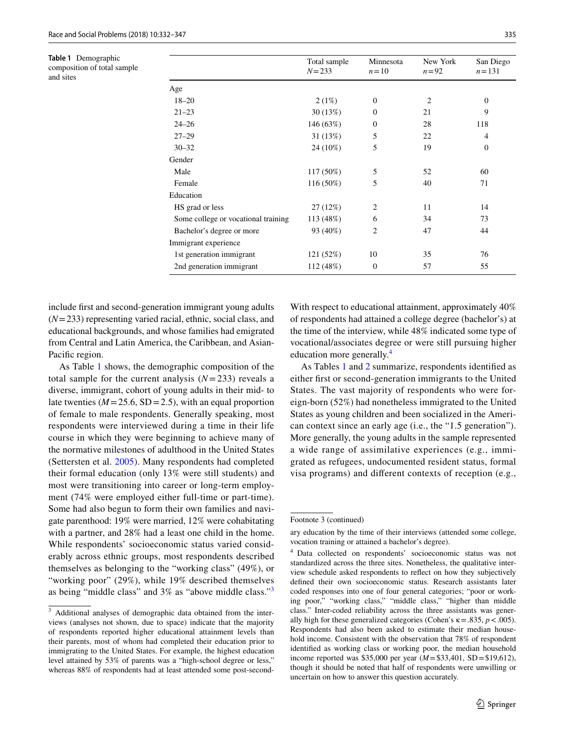<span id="page-3-0"></span>**Table 1** Demographic composition of total sample and sites

|                                     | Total sample<br>$N = 233$ | Minnesota<br>$n=10$ | New York<br>$n=92$ | San Diego<br>$n = 131$ |
|-------------------------------------|---------------------------|---------------------|--------------------|------------------------|
| Age                                 |                           |                     |                    |                        |
| $18 - 20$                           | 2(1%)                     | $\theta$            | 2                  | $\mathbf{0}$           |
| $21 - 23$                           | 30 (13%)                  | $\theta$            | 21                 | 9                      |
| $24 - 26$                           | 146 (63%)                 | $\theta$            | 28                 | 118                    |
| $27 - 29$                           | 31 (13%)                  | 5                   | 22                 | $\overline{4}$         |
| $30 - 32$                           | 24 (10%)                  | 5                   | 19                 | $\mathbf{0}$           |
| Gender                              |                           |                     |                    |                        |
| Male                                | 117 (50%)                 | 5                   | 52                 | 60                     |
| Female                              | 116 (50%)                 | 5                   | 40                 | 71                     |
| Education                           |                           |                     |                    |                        |
| HS grad or less                     | 27(12%)                   | $\overline{2}$      | 11                 | 14                     |
| Some college or vocational training | 113 (48%)                 | 6                   | 34                 | 73                     |
| Bachelor's degree or more           | 93 (40%)                  | $\overline{2}$      | 47                 | 44                     |
| Immigrant experience                |                           |                     |                    |                        |
| 1st generation immigrant            | 121 (52%)                 | 10                  | 35                 | 76                     |
| 2nd generation immigrant            | 112 (48%)                 | $\mathbf{0}$        | 57                 | 55                     |

include first and second-generation immigrant young adults (*N*=233) representing varied racial, ethnic, social class, and educational backgrounds, and whose families had emigrated from Central and Latin America, the Caribbean, and Asian-Pacific region.

As Table [1](#page-3-0) shows, the demographic composition of the total sample for the current analysis  $(N=233)$  reveals a diverse, immigrant, cohort of young adults in their mid- to late twenties  $(M=25.6, SD=2.5)$ , with an equal proportion of female to male respondents. Generally speaking, most respondents were interviewed during a time in their life course in which they were beginning to achieve many of the normative milestones of adulthood in the United States (Settersten et al. [2005\)](#page-14-14). Many respondents had completed their formal education (only 13% were still students) and most were transitioning into career or long-term employment (74% were employed either full-time or part-time). Some had also begun to form their own families and navigate parenthood: 19% were married, 12% were cohabitating with a partner, and 28% had a least one child in the home. While respondents' socioeconomic status varied considerably across ethnic groups, most respondents described themselves as belonging to the "working class" (49%), or "working poor" (29%), while 19% described themselves as being "middle class" and 3% as "above middle class."[3](#page-3-1)

With respect to educational attainment, approximately 40% of respondents had attained a college degree (bachelor's) at the time of the interview, while 48% indicated some type of vocational/associates degree or were still pursuing higher education more generally.<sup>[4](#page-3-2)</sup>

As Tables [1](#page-3-0) and [2](#page-4-0) summarize, respondents identified as either first or second-generation immigrants to the United States. The vast majority of respondents who were foreign-born (52%) had nonetheless immigrated to the United States as young children and been socialized in the American context since an early age (i.e., the "1.5 generation"). More generally, the young adults in the sample represented a wide range of assimilative experiences (e.g., immigrated as refugees, undocumented resident status, formal visa programs) and different contexts of reception (e.g.,

<span id="page-3-1"></span><sup>3</sup> Additional analyses of demographic data obtained from the interviews (analyses not shown, due to space) indicate that the majority of respondents reported higher educational attainment levels than their parents, most of whom had completed their education prior to immigrating to the United States. For example, the highest education level attained by 53% of parents was a "high-school degree or less," whereas 88% of respondents had at least attended some post-second-

Footnote 3 (continued)

ary education by the time of their interviews (attended some college, vocation training or attained a bachelor's degree).

<span id="page-3-2"></span><sup>4</sup> Data collected on respondents' socioeconomic status was not standardized across the three sites. Nonetheless, the qualitative interview schedule asked respondents to reflect on how they subjectively defined their own socioeconomic status. Research assistants later coded responses into one of four general categories; "poor or working poor," "working class," "middle class," "higher than middle class." Inter-coded reliability across the three assistants was generally high for these generalized categories (Cohen's  $\kappa = .835$ ,  $p < .005$ ). Respondents had also been asked to estimate their median household income. Consistent with the observation that 78% of respondent identified as working class or working poor, the median household income reported was \$35,000 per year (*M*=\$33,401, SD=\$19,612), though it should be noted that half of respondents were unwilling or uncertain on how to answer this question accurately.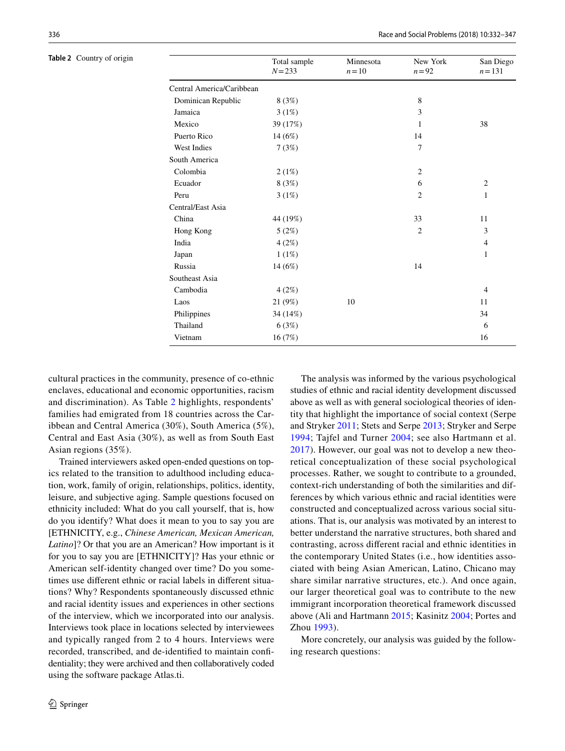#### <span id="page-4-0"></span>**Table 2** Country of origin

|                           | Total sample<br>$N = 233$ | Minnesota<br>$n=10$ | New York<br>$n=92$ | San Diego<br>$n = 131$ |
|---------------------------|---------------------------|---------------------|--------------------|------------------------|
| Central America/Caribbean |                           |                     |                    |                        |
| Dominican Republic        | 8(3%)                     |                     | 8                  |                        |
| Jamaica                   | 3(1%)                     |                     | 3                  |                        |
| Mexico                    | 39 (17%)                  |                     | 1                  | 38                     |
| Puerto Rico               | 14(6%)                    |                     | 14                 |                        |
| West Indies               | 7(3%)                     |                     | 7                  |                        |
| South America             |                           |                     |                    |                        |
| Colombia                  | 2(1%)                     |                     | $\overline{2}$     |                        |
| Ecuador                   | 8(3%)                     |                     | 6                  | $\overline{2}$         |
| Peru                      | 3(1%)                     |                     | $\overline{c}$     | 1                      |
| Central/East Asia         |                           |                     |                    |                        |
| China                     | 44 (19%)                  |                     | 33                 | 11                     |
| Hong Kong                 | 5(2%)                     |                     | $\mathfrak{2}$     | 3                      |
| India                     | 4(2%)                     |                     |                    | $\overline{4}$         |
| Japan                     | 1(1%)                     |                     |                    | 1                      |
| Russia                    | 14(6%)                    |                     | 14                 |                        |
| Southeast Asia            |                           |                     |                    |                        |
| Cambodia                  | 4(2%)                     |                     |                    | $\overline{4}$         |
| Laos                      | 21 (9%)                   | 10                  |                    | 11                     |
| Philippines               | 34 (14%)                  |                     |                    | 34                     |
| Thailand                  | 6(3%)                     |                     |                    | 6                      |
| Vietnam                   | 16(7%)                    |                     |                    | 16                     |

cultural practices in the community, presence of co-ethnic enclaves, educational and economic opportunities, racism and discrimination). As Table [2](#page-4-0) highlights, respondents' families had emigrated from 18 countries across the Caribbean and Central America (30%), South America (5%), Central and East Asia (30%), as well as from South East Asian regions (35%).

Trained interviewers asked open-ended questions on topics related to the transition to adulthood including education, work, family of origin, relationships, politics, identity, leisure, and subjective aging. Sample questions focused on ethnicity included: What do you call yourself, that is, how do you identify? What does it mean to you to say you are [ETHNICITY, e.g., *Chinese American, Mexican American, Latino*]? Or that you are an American? How important is it for you to say you are [ETHNICITY]? Has your ethnic or American self-identity changed over time? Do you sometimes use different ethnic or racial labels in different situations? Why? Respondents spontaneously discussed ethnic and racial identity issues and experiences in other sections of the interview, which we incorporated into our analysis. Interviews took place in locations selected by interviewees and typically ranged from 2 to 4 hours. Interviews were recorded, transcribed, and de-identified to maintain confidentiality; they were archived and then collaboratively coded using the software package Atlas.ti.

The analysis was informed by the various psychological studies of ethnic and racial identity development discussed above as well as with general sociological theories of identity that highlight the importance of social context (Serpe and Stryker [2011;](#page-14-27) Stets and Serpe [2013](#page-14-28); Stryker and Serpe [1994](#page-14-29); Tajfel and Turner [2004](#page-14-30); see also Hartmann et al. [2017\)](#page-13-25). However, our goal was not to develop a new theoretical conceptualization of these social psychological processes. Rather, we sought to contribute to a grounded, context-rich understanding of both the similarities and differences by which various ethnic and racial identities were constructed and conceptualized across various social situations. That is, our analysis was motivated by an interest to better understand the narrative structures, both shared and contrasting, across different racial and ethnic identities in the contemporary United States (i.e., how identities associated with being Asian American, Latino, Chicano may share similar narrative structures, etc.). And once again, our larger theoretical goal was to contribute to the new immigrant incorporation theoretical framework discussed above (Ali and Hartmann [2015](#page-13-7); Kasinitz [2004;](#page-13-5) Portes and Zhou [1993](#page-14-10)).

More concretely, our analysis was guided by the following research questions: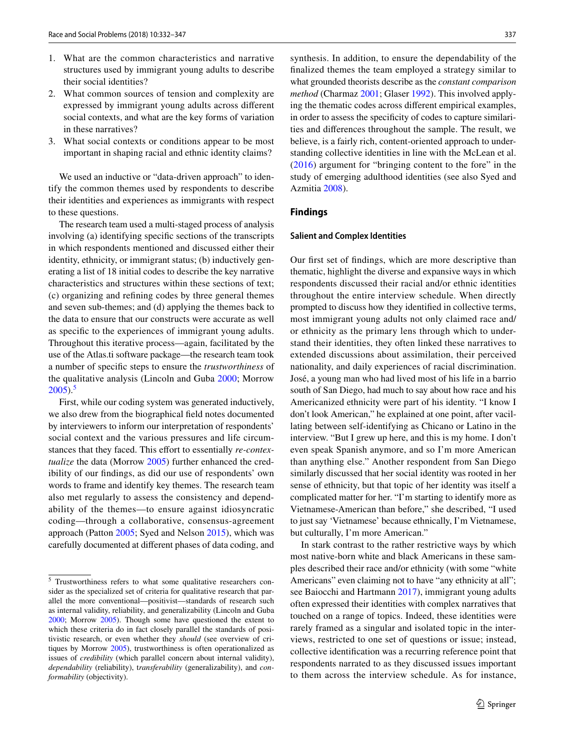- 1. What are the common characteristics and narrative structures used by immigrant young adults to describe their social identities?
- 2. What common sources of tension and complexity are expressed by immigrant young adults across different social contexts, and what are the key forms of variation in these narratives?
- 3. What social contexts or conditions appear to be most important in shaping racial and ethnic identity claims?

We used an inductive or "data-driven approach" to identify the common themes used by respondents to describe their identities and experiences as immigrants with respect to these questions.

The research team used a multi-staged process of analysis involving (a) identifying specific sections of the transcripts in which respondents mentioned and discussed either their identity, ethnicity, or immigrant status; (b) inductively generating a list of 18 initial codes to describe the key narrative characteristics and structures within these sections of text; (c) organizing and refining codes by three general themes and seven sub-themes; and (d) applying the themes back to the data to ensure that our constructs were accurate as well as specific to the experiences of immigrant young adults. Throughout this iterative process—again, facilitated by the use of the Atlas.ti software package—the research team took a number of specific steps to ensure the *trustworthiness* of the qualitative analysis (Lincoln and Guba [2000;](#page-14-31) Morrow  $2005$ ).<sup>[5](#page-5-0)</sup>

First, while our coding system was generated inductively, we also drew from the biographical field notes documented by interviewers to inform our interpretation of respondents' social context and the various pressures and life circumstances that they faced. This effort to essentially *re-contextualize* the data (Morrow [2005](#page-14-32)) further enhanced the credibility of our findings, as did our use of respondents' own words to frame and identify key themes. The research team also met regularly to assess the consistency and dependability of the themes—to ensure against idiosyncratic coding—through a collaborative, consensus-agreement approach (Patton [2005](#page-14-33); Syed and Nelson [2015](#page-14-34)), which was carefully documented at different phases of data coding, and synthesis. In addition, to ensure the dependability of the finalized themes the team employed a strategy similar to what grounded theorists describe as the *constant comparison method* (Charmaz [2001](#page-13-26); Glaser [1992\)](#page-13-27). This involved applying the thematic codes across different empirical examples, in order to assess the specificity of codes to capture similarities and differences throughout the sample. The result, we believe, is a fairly rich, content-oriented approach to understanding collective identities in line with the McLean et al. ([2016](#page-14-35)) argument for "bringing content to the fore" in the study of emerging adulthood identities (see also Syed and Azmitia [2008](#page-14-36)).

#### **Findings**

#### **Salient and Complex Identities**

Our first set of findings, which are more descriptive than thematic, highlight the diverse and expansive ways in which respondents discussed their racial and/or ethnic identities throughout the entire interview schedule. When directly prompted to discuss how they identified in collective terms, most immigrant young adults not only claimed race and/ or ethnicity as the primary lens through which to understand their identities, they often linked these narratives to extended discussions about assimilation, their perceived nationality, and daily experiences of racial discrimination. José, a young man who had lived most of his life in a barrio south of San Diego, had much to say about how race and his Americanized ethnicity were part of his identity. "I know I don't look American," he explained at one point, after vacillating between self-identifying as Chicano or Latino in the interview. "But I grew up here, and this is my home. I don't even speak Spanish anymore, and so I'm more American than anything else." Another respondent from San Diego similarly discussed that her social identity was rooted in her sense of ethnicity, but that topic of her identity was itself a complicated matter for her. "I'm starting to identify more as Vietnamese-American than before," she described, "I used to just say 'Vietnamese' because ethnically, I'm Vietnamese, but culturally, I'm more American."

In stark contrast to the rather restrictive ways by which most native-born white and black Americans in these samples described their race and/or ethnicity (with some "white Americans" even claiming not to have "any ethnicity at all"; see Baiocchi and Hartmann [2017\)](#page-13-6), immigrant young adults often expressed their identities with complex narratives that touched on a range of topics. Indeed, these identities were rarely framed as a singular and isolated topic in the interviews, restricted to one set of questions or issue; instead, collective identification was a recurring reference point that respondents narrated to as they discussed issues important to them across the interview schedule. As for instance,

<span id="page-5-0"></span><sup>5</sup> Trustworthiness refers to what some qualitative researchers consider as the specialized set of criteria for qualitative research that parallel the more conventional—positivist—standards of research such as internal validity, reliability, and generalizability (Lincoln and Guba [2000](#page-14-31); Morrow [2005\)](#page-14-32). Though some have questioned the extent to which these criteria do in fact closely parallel the standards of positivistic research, or even whether they *should* (see overview of critiques by Morrow [2005\)](#page-14-32), trustworthiness is often operationalized as issues of *credibility* (which parallel concern about internal validity), *dependability* (reliability), t*ransferability* (generalizability), and *conformability* (objectivity).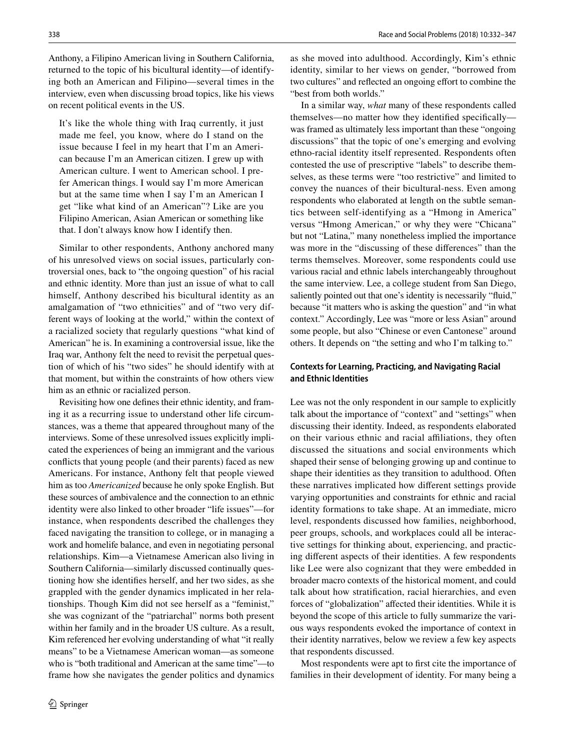Anthony, a Filipino American living in Southern California, returned to the topic of his bicultural identity—of identifying both an American and Filipino—several times in the interview, even when discussing broad topics, like his views on recent political events in the US.

It's like the whole thing with Iraq currently, it just made me feel, you know, where do I stand on the issue because I feel in my heart that I'm an American because I'm an American citizen. I grew up with American culture. I went to American school. I prefer American things. I would say I'm more American but at the same time when I say I'm an American I get "like what kind of an American"? Like are you Filipino American, Asian American or something like that. I don't always know how I identify then.

Similar to other respondents, Anthony anchored many of his unresolved views on social issues, particularly controversial ones, back to "the ongoing question" of his racial and ethnic identity. More than just an issue of what to call himself, Anthony described his bicultural identity as an amalgamation of "two ethnicities" and of "two very different ways of looking at the world," within the context of a racialized society that regularly questions "what kind of American" he is. In examining a controversial issue, like the Iraq war, Anthony felt the need to revisit the perpetual question of which of his "two sides" he should identify with at that moment, but within the constraints of how others view him as an ethnic or racialized person.

Revisiting how one defines their ethnic identity, and framing it as a recurring issue to understand other life circumstances, was a theme that appeared throughout many of the interviews. Some of these unresolved issues explicitly implicated the experiences of being an immigrant and the various conflicts that young people (and their parents) faced as new Americans. For instance, Anthony felt that people viewed him as too *Americanized* because he only spoke English. But these sources of ambivalence and the connection to an ethnic identity were also linked to other broader "life issues"—for instance, when respondents described the challenges they faced navigating the transition to college, or in managing a work and homelife balance, and even in negotiating personal relationships. Kim—a Vietnamese American also living in Southern California—similarly discussed continually questioning how she identifies herself, and her two sides, as she grappled with the gender dynamics implicated in her relationships. Though Kim did not see herself as a "feminist," she was cognizant of the "patriarchal" norms both present within her family and in the broader US culture. As a result, Kim referenced her evolving understanding of what "it really means" to be a Vietnamese American woman—as someone who is "both traditional and American at the same time"—to frame how she navigates the gender politics and dynamics as she moved into adulthood. Accordingly, Kim's ethnic identity, similar to her views on gender, "borrowed from two cultures" and reflected an ongoing effort to combine the "best from both worlds."

In a similar way, *what* many of these respondents called themselves—no matter how they identified specifically was framed as ultimately less important than these "ongoing discussions" that the topic of one's emerging and evolving ethno-racial identity itself represented. Respondents often contested the use of prescriptive "labels" to describe themselves, as these terms were "too restrictive" and limited to convey the nuances of their bicultural-ness. Even among respondents who elaborated at length on the subtle semantics between self-identifying as a "Hmong in America" versus "Hmong American," or why they were "Chicana" but not "Latina," many nonetheless implied the importance was more in the "discussing of these differences" than the terms themselves. Moreover, some respondents could use various racial and ethnic labels interchangeably throughout the same interview. Lee, a college student from San Diego, saliently pointed out that one's identity is necessarily "fluid," because "it matters who is asking the question" and "in what context." Accordingly, Lee was "more or less Asian" around some people, but also "Chinese or even Cantonese" around others. It depends on "the setting and who I'm talking to."

## **Contexts for Learning, Practicing, and Navigating Racial and Ethnic Identities**

Lee was not the only respondent in our sample to explicitly talk about the importance of "context" and "settings" when discussing their identity. Indeed, as respondents elaborated on their various ethnic and racial affiliations, they often discussed the situations and social environments which shaped their sense of belonging growing up and continue to shape their identities as they transition to adulthood. Often these narratives implicated how different settings provide varying opportunities and constraints for ethnic and racial identity formations to take shape. At an immediate, micro level, respondents discussed how families, neighborhood, peer groups, schools, and workplaces could all be interactive settings for thinking about, experiencing, and practicing different aspects of their identities. A few respondents like Lee were also cognizant that they were embedded in broader macro contexts of the historical moment, and could talk about how stratification, racial hierarchies, and even forces of "globalization" affected their identities. While it is beyond the scope of this article to fully summarize the various ways respondents evoked the importance of context in their identity narratives, below we review a few key aspects that respondents discussed.

Most respondents were apt to first cite the importance of families in their development of identity. For many being a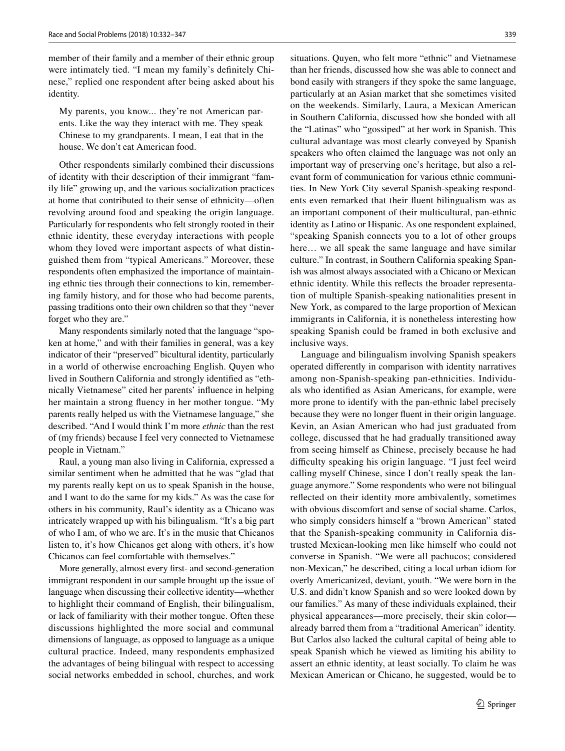member of their family and a member of their ethnic group were intimately tied. "I mean my family's definitely Chinese," replied one respondent after being asked about his identity.

My parents, you know... they're not American parents. Like the way they interact with me. They speak Chinese to my grandparents. I mean, I eat that in the house. We don't eat American food.

Other respondents similarly combined their discussions of identity with their description of their immigrant "family life" growing up, and the various socialization practices at home that contributed to their sense of ethnicity—often revolving around food and speaking the origin language. Particularly for respondents who felt strongly rooted in their ethnic identity, these everyday interactions with people whom they loved were important aspects of what distinguished them from "typical Americans." Moreover, these respondents often emphasized the importance of maintaining ethnic ties through their connections to kin, remembering family history, and for those who had become parents, passing traditions onto their own children so that they "never forget who they are."

Many respondents similarly noted that the language "spoken at home," and with their families in general, was a key indicator of their "preserved" bicultural identity, particularly in a world of otherwise encroaching English. Quyen who lived in Southern California and strongly identified as "ethnically Vietnamese" cited her parents' influence in helping her maintain a strong fluency in her mother tongue. "My parents really helped us with the Vietnamese language," she described. "And I would think I'm more *ethnic* than the rest of (my friends) because I feel very connected to Vietnamese people in Vietnam."

Raul, a young man also living in California, expressed a similar sentiment when he admitted that he was "glad that my parents really kept on us to speak Spanish in the house, and I want to do the same for my kids." As was the case for others in his community, Raul's identity as a Chicano was intricately wrapped up with his bilingualism. "It's a big part of who I am, of who we are. It's in the music that Chicanos listen to, it's how Chicanos get along with others, it's how Chicanos can feel comfortable with themselves."

More generally, almost every first- and second-generation immigrant respondent in our sample brought up the issue of language when discussing their collective identity—whether to highlight their command of English, their bilingualism, or lack of familiarity with their mother tongue. Often these discussions highlighted the more social and communal dimensions of language, as opposed to language as a unique cultural practice. Indeed, many respondents emphasized the advantages of being bilingual with respect to accessing social networks embedded in school, churches, and work situations. Quyen, who felt more "ethnic" and Vietnamese than her friends, discussed how she was able to connect and bond easily with strangers if they spoke the same language, particularly at an Asian market that she sometimes visited on the weekends. Similarly, Laura, a Mexican American in Southern California, discussed how she bonded with all the "Latinas" who "gossiped" at her work in Spanish. This cultural advantage was most clearly conveyed by Spanish speakers who often claimed the language was not only an important way of preserving one's heritage, but also a relevant form of communication for various ethnic communities. In New York City several Spanish-speaking respondents even remarked that their fluent bilingualism was as an important component of their multicultural, pan-ethnic identity as Latino or Hispanic. As one respondent explained, "speaking Spanish connects you to a lot of other groups here… we all speak the same language and have similar culture." In contrast, in Southern California speaking Spanish was almost always associated with a Chicano or Mexican ethnic identity. While this reflects the broader representation of multiple Spanish-speaking nationalities present in New York, as compared to the large proportion of Mexican immigrants in California, it is nonetheless interesting how speaking Spanish could be framed in both exclusive and inclusive ways.

Language and bilingualism involving Spanish speakers operated differently in comparison with identity narratives among non-Spanish-speaking pan-ethnicities. Individuals who identified as Asian Americans, for example, were more prone to identify with the pan-ethnic label precisely because they were no longer fluent in their origin language. Kevin, an Asian American who had just graduated from college, discussed that he had gradually transitioned away from seeing himself as Chinese, precisely because he had difficulty speaking his origin language. "I just feel weird calling myself Chinese, since I don't really speak the language anymore." Some respondents who were not bilingual reflected on their identity more ambivalently, sometimes with obvious discomfort and sense of social shame. Carlos, who simply considers himself a "brown American" stated that the Spanish-speaking community in California distrusted Mexican-looking men like himself who could not converse in Spanish. "We were all pachucos; considered non-Mexican," he described, citing a local urban idiom for overly Americanized, deviant, youth. "We were born in the U.S. and didn't know Spanish and so were looked down by our families." As many of these individuals explained, their physical appearances—more precisely, their skin color already barred them from a "traditional American" identity. But Carlos also lacked the cultural capital of being able to speak Spanish which he viewed as limiting his ability to assert an ethnic identity, at least socially. To claim he was Mexican American or Chicano, he suggested, would be to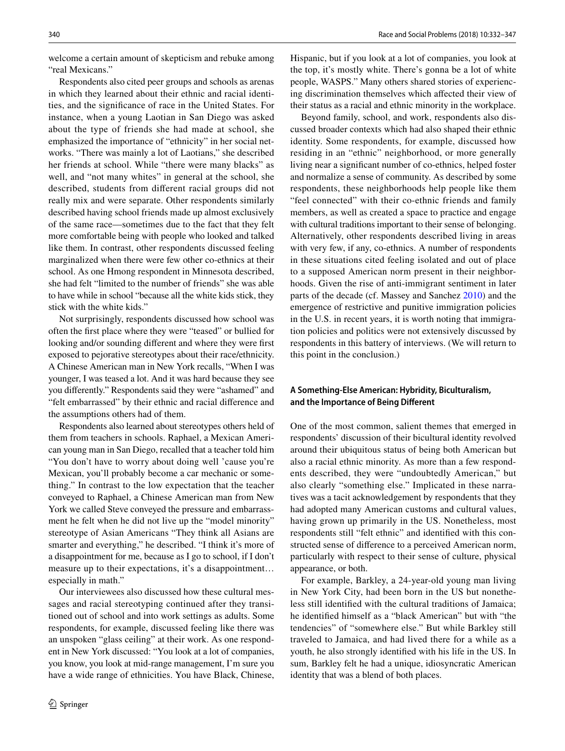welcome a certain amount of skepticism and rebuke among "real Mexicans."

Respondents also cited peer groups and schools as arenas in which they learned about their ethnic and racial identities, and the significance of race in the United States. For instance, when a young Laotian in San Diego was asked about the type of friends she had made at school, she emphasized the importance of "ethnicity" in her social networks. "There was mainly a lot of Laotians," she described her friends at school. While "there were many blacks" as well, and "not many whites" in general at the school, she described, students from different racial groups did not really mix and were separate. Other respondents similarly described having school friends made up almost exclusively of the same race—sometimes due to the fact that they felt more comfortable being with people who looked and talked like them. In contrast, other respondents discussed feeling marginalized when there were few other co-ethnics at their school. As one Hmong respondent in Minnesota described, she had felt "limited to the number of friends" she was able to have while in school "because all the white kids stick, they stick with the white kids."

Not surprisingly, respondents discussed how school was often the first place where they were "teased" or bullied for looking and/or sounding different and where they were first exposed to pejorative stereotypes about their race/ethnicity. A Chinese American man in New York recalls, "When I was younger, I was teased a lot. And it was hard because they see you differently." Respondents said they were "ashamed" and "felt embarrassed" by their ethnic and racial difference and the assumptions others had of them.

Respondents also learned about stereotypes others held of them from teachers in schools. Raphael, a Mexican American young man in San Diego, recalled that a teacher told him "You don't have to worry about doing well 'cause you're Mexican, you'll probably become a car mechanic or something." In contrast to the low expectation that the teacher conveyed to Raphael, a Chinese American man from New York we called Steve conveyed the pressure and embarrassment he felt when he did not live up the "model minority" stereotype of Asian Americans "They think all Asians are smarter and everything," he described. "I think it's more of a disappointment for me, because as I go to school, if I don't measure up to their expectations, it's a disappointment… especially in math."

Our interviewees also discussed how these cultural messages and racial stereotyping continued after they transitioned out of school and into work settings as adults. Some respondents, for example, discussed feeling like there was an unspoken "glass ceiling" at their work. As one respondent in New York discussed: "You look at a lot of companies, you know, you look at mid-range management, I'm sure you have a wide range of ethnicities. You have Black, Chinese, Hispanic, but if you look at a lot of companies, you look at the top, it's mostly white. There's gonna be a lot of white people, WASPS." Many others shared stories of experiencing discrimination themselves which affected their view of their status as a racial and ethnic minority in the workplace.

Beyond family, school, and work, respondents also discussed broader contexts which had also shaped their ethnic identity. Some respondents, for example, discussed how residing in an "ethnic" neighborhood, or more generally living near a significant number of co-ethnics, helped foster and normalize a sense of community. As described by some respondents, these neighborhoods help people like them "feel connected" with their co-ethnic friends and family members, as well as created a space to practice and engage with cultural traditions important to their sense of belonging. Alternatively, other respondents described living in areas with very few, if any, co-ethnics. A number of respondents in these situations cited feeling isolated and out of place to a supposed American norm present in their neighborhoods. Given the rise of anti-immigrant sentiment in later parts of the decade (cf. Massey and Sanchez [2010\)](#page-14-37) and the emergence of restrictive and punitive immigration policies in the U.S. in recent years, it is worth noting that immigration policies and politics were not extensively discussed by respondents in this battery of interviews. (We will return to this point in the conclusion.)

### **A Something‑Else American: Hybridity, Biculturalism, and the Importance of Being Different**

One of the most common, salient themes that emerged in respondents' discussion of their bicultural identity revolved around their ubiquitous status of being both American but also a racial ethnic minority. As more than a few respondents described, they were "undoubtedly American," but also clearly "something else." Implicated in these narratives was a tacit acknowledgement by respondents that they had adopted many American customs and cultural values, having grown up primarily in the US. Nonetheless, most respondents still "felt ethnic" and identified with this constructed sense of difference to a perceived American norm, particularly with respect to their sense of culture, physical appearance, or both.

For example, Barkley, a 24-year-old young man living in New York City, had been born in the US but nonetheless still identified with the cultural traditions of Jamaica; he identified himself as a "black American" but with "the tendencies" of "somewhere else." But while Barkley still traveled to Jamaica, and had lived there for a while as a youth, he also strongly identified with his life in the US. In sum, Barkley felt he had a unique, idiosyncratic American identity that was a blend of both places.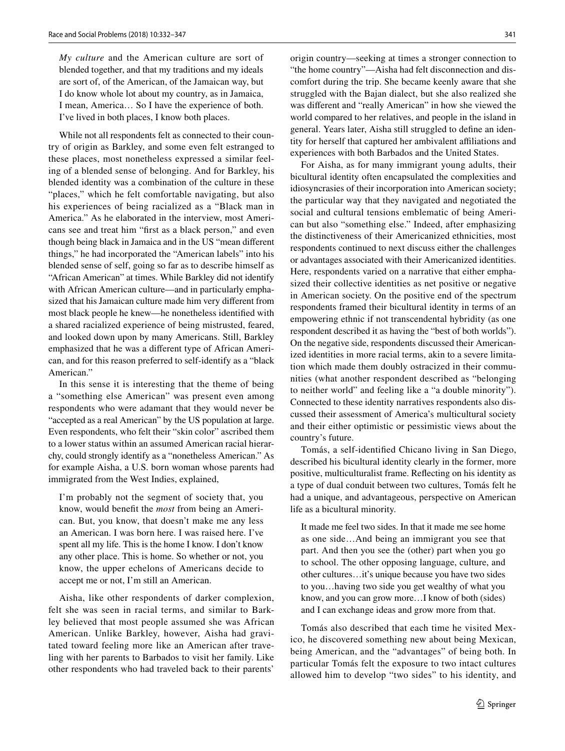*My culture* and the American culture are sort of blended together, and that my traditions and my ideals are sort of, of the American, of the Jamaican way, but I do know whole lot about my country, as in Jamaica, I mean, America… So I have the experience of both. I've lived in both places, I know both places.

While not all respondents felt as connected to their country of origin as Barkley, and some even felt estranged to these places, most nonetheless expressed a similar feeling of a blended sense of belonging. And for Barkley, his blended identity was a combination of the culture in these "places," which he felt comfortable navigating, but also his experiences of being racialized as a "Black man in America." As he elaborated in the interview, most Americans see and treat him "first as a black person," and even though being black in Jamaica and in the US "mean different things," he had incorporated the "American labels" into his blended sense of self, going so far as to describe himself as "African American" at times. While Barkley did not identify with African American culture—and in particularly emphasized that his Jamaican culture made him very different from most black people he knew—he nonetheless identified with a shared racialized experience of being mistrusted, feared, and looked down upon by many Americans. Still, Barkley emphasized that he was a different type of African American, and for this reason preferred to self-identify as a "black American."

In this sense it is interesting that the theme of being a "something else American" was present even among respondents who were adamant that they would never be "accepted as a real American" by the US population at large. Even respondents, who felt their "skin color" ascribed them to a lower status within an assumed American racial hierarchy, could strongly identify as a "nonetheless American." As for example Aisha, a U.S. born woman whose parents had immigrated from the West Indies, explained,

I'm probably not the segment of society that, you know, would benefit the *most* from being an American. But, you know, that doesn't make me any less an American. I was born here. I was raised here. I've spent all my life. This is the home I know. I don't know any other place. This is home. So whether or not, you know, the upper echelons of Americans decide to accept me or not, I'm still an American.

Aisha, like other respondents of darker complexion, felt she was seen in racial terms, and similar to Barkley believed that most people assumed she was African American. Unlike Barkley, however, Aisha had gravitated toward feeling more like an American after traveling with her parents to Barbados to visit her family. Like other respondents who had traveled back to their parents'

origin country—seeking at times a stronger connection to "the home country"—Aisha had felt disconnection and discomfort during the trip. She became keenly aware that she struggled with the Bajan dialect, but she also realized she was different and "really American" in how she viewed the world compared to her relatives, and people in the island in general. Years later, Aisha still struggled to define an identity for herself that captured her ambivalent affiliations and experiences with both Barbados and the United States.

For Aisha, as for many immigrant young adults, their bicultural identity often encapsulated the complexities and idiosyncrasies of their incorporation into American society; the particular way that they navigated and negotiated the social and cultural tensions emblematic of being American but also "something else." Indeed, after emphasizing the distinctiveness of their Americanized ethnicities, most respondents continued to next discuss either the challenges or advantages associated with their Americanized identities. Here, respondents varied on a narrative that either emphasized their collective identities as net positive or negative in American society. On the positive end of the spectrum respondents framed their bicultural identity in terms of an empowering ethnic if not transcendental hybridity (as one respondent described it as having the "best of both worlds"). On the negative side, respondents discussed their Americanized identities in more racial terms, akin to a severe limitation which made them doubly ostracized in their communities (what another respondent described as "belonging to neither world" and feeling like a "a double minority"). Connected to these identity narratives respondents also discussed their assessment of America's multicultural society and their either optimistic or pessimistic views about the country's future.

Tomás, a self-identified Chicano living in San Diego, described his bicultural identity clearly in the former, more positive, multiculturalist frame. Reflecting on his identity as a type of dual conduit between two cultures, Tomás felt he had a unique, and advantageous, perspective on American life as a bicultural minority.

It made me feel two sides. In that it made me see home as one side…And being an immigrant you see that part. And then you see the (other) part when you go to school. The other opposing language, culture, and other cultures…it's unique because you have two sides to you…having two side you get wealthy of what you know, and you can grow more…I know of both (sides) and I can exchange ideas and grow more from that.

Tomás also described that each time he visited Mexico, he discovered something new about being Mexican, being American, and the "advantages" of being both. In particular Tomás felt the exposure to two intact cultures allowed him to develop "two sides" to his identity, and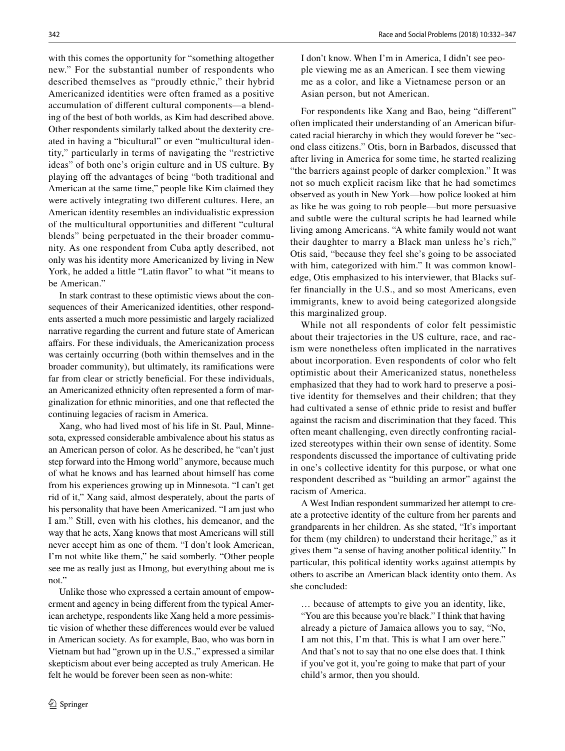with this comes the opportunity for "something altogether new." For the substantial number of respondents who described themselves as "proudly ethnic," their hybrid Americanized identities were often framed as a positive accumulation of different cultural components—a blending of the best of both worlds, as Kim had described above. Other respondents similarly talked about the dexterity created in having a "bicultural" or even "multicultural identity," particularly in terms of navigating the "restrictive ideas" of both one's origin culture and in US culture. By playing off the advantages of being "both traditional and American at the same time," people like Kim claimed they were actively integrating two different cultures. Here, an American identity resembles an individualistic expression of the multicultural opportunities and different "cultural blends" being perpetuated in the their broader community. As one respondent from Cuba aptly described, not only was his identity more Americanized by living in New York, he added a little "Latin flavor" to what "it means to be American."

In stark contrast to these optimistic views about the consequences of their Americanized identities, other respondents asserted a much more pessimistic and largely racialized narrative regarding the current and future state of American affairs. For these individuals, the Americanization process was certainly occurring (both within themselves and in the broader community), but ultimately, its ramifications were far from clear or strictly beneficial. For these individuals, an Americanized ethnicity often represented a form of marginalization for ethnic minorities, and one that reflected the continuing legacies of racism in America.

Xang, who had lived most of his life in St. Paul, Minnesota, expressed considerable ambivalence about his status as an American person of color. As he described, he "can't just step forward into the Hmong world" anymore, because much of what he knows and has learned about himself has come from his experiences growing up in Minnesota. "I can't get rid of it," Xang said, almost desperately, about the parts of his personality that have been Americanized. "I am just who I am." Still, even with his clothes, his demeanor, and the way that he acts, Xang knows that most Americans will still never accept him as one of them. "I don't look American, I'm not white like them," he said somberly. "Other people see me as really just as Hmong, but everything about me is not."

Unlike those who expressed a certain amount of empowerment and agency in being different from the typical American archetype, respondents like Xang held a more pessimistic vision of whether these differences would ever be valued in American society. As for example, Bao, who was born in Vietnam but had "grown up in the U.S.," expressed a similar skepticism about ever being accepted as truly American. He felt he would be forever been seen as non-white:

I don't know. When I'm in America, I didn't see people viewing me as an American. I see them viewing me as a color, and like a Vietnamese person or an Asian person, but not American.

For respondents like Xang and Bao, being "different" often implicated their understanding of an American bifurcated racial hierarchy in which they would forever be "second class citizens." Otis, born in Barbados, discussed that after living in America for some time, he started realizing "the barriers against people of darker complexion." It was not so much explicit racism like that he had sometimes observed as youth in New York—how police looked at him as like he was going to rob people—but more persuasive and subtle were the cultural scripts he had learned while living among Americans. "A white family would not want their daughter to marry a Black man unless he's rich," Otis said, "because they feel she's going to be associated with him, categorized with him." It was common knowledge, Otis emphasized to his interviewer, that Blacks suffer financially in the U.S., and so most Americans, even immigrants, knew to avoid being categorized alongside this marginalized group.

While not all respondents of color felt pessimistic about their trajectories in the US culture, race, and racism were nonetheless often implicated in the narratives about incorporation. Even respondents of color who felt optimistic about their Americanized status, nonetheless emphasized that they had to work hard to preserve a positive identity for themselves and their children; that they had cultivated a sense of ethnic pride to resist and buffer against the racism and discrimination that they faced. This often meant challenging, even directly confronting racialized stereotypes within their own sense of identity. Some respondents discussed the importance of cultivating pride in one's collective identity for this purpose, or what one respondent described as "building an armor" against the racism of America.

A West Indian respondent summarized her attempt to create a protective identity of the culture from her parents and grandparents in her children. As she stated, "It's important for them (my children) to understand their heritage," as it gives them "a sense of having another political identity." In particular, this political identity works against attempts by others to ascribe an American black identity onto them. As she concluded:

… because of attempts to give you an identity, like, "You are this because you're black." I think that having already a picture of Jamaica allows you to say, "No, I am not this, I'm that. This is what I am over here." And that's not to say that no one else does that. I think if you've got it, you're going to make that part of your child's armor, then you should.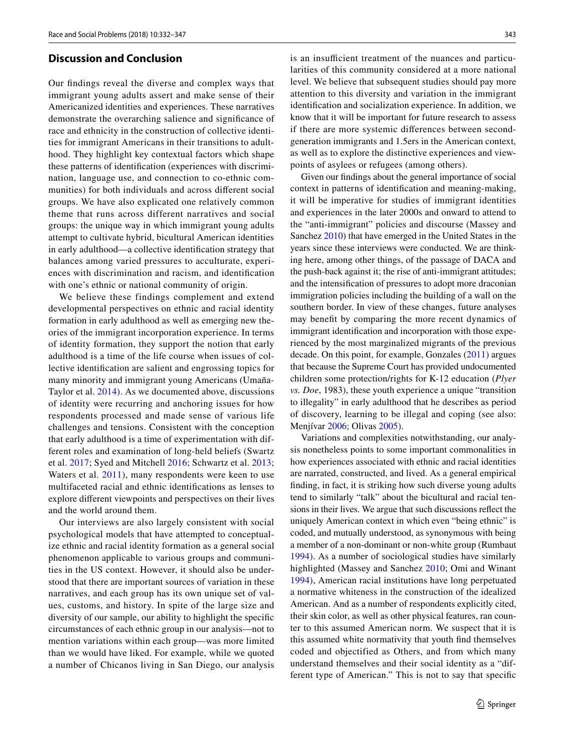#### **Discussion and Conclusion**

Our findings reveal the diverse and complex ways that immigrant young adults assert and make sense of their Americanized identities and experiences. These narratives demonstrate the overarching salience and significance of race and ethnicity in the construction of collective identities for immigrant Americans in their transitions to adulthood. They highlight key contextual factors which shape these patterns of identification (experiences with discrimination, language use, and connection to co-ethnic communities) for both individuals and across different social groups. We have also explicated one relatively common theme that runs across different narratives and social groups: the unique way in which immigrant young adults attempt to cultivate hybrid, bicultural American identities in early adulthood—a collective identification strategy that balances among varied pressures to acculturate, experiences with discrimination and racism, and identification with one's ethnic or national community of origin.

We believe these findings complement and extend developmental perspectives on ethnic and racial identity formation in early adulthood as well as emerging new theories of the immigrant incorporation experience. In terms of identity formation, they support the notion that early adulthood is a time of the life course when issues of collective identification are salient and engrossing topics for many minority and immigrant young Americans (Umaña-Taylor et al. [2014](#page-14-8)). As we documented above, discussions of identity were recurring and anchoring issues for how respondents processed and made sense of various life challenges and tensions. Consistent with the conception that early adulthood is a time of experimentation with different roles and examination of long-held beliefs (Swartz et al. [2017](#page-14-9); Syed and Mitchell [2016](#page-14-7); Schwartz et al. [2013](#page-14-1); Waters et al. [2011\)](#page-15-1), many respondents were keen to use multifaceted racial and ethnic identifications as lenses to explore different viewpoints and perspectives on their lives and the world around them.

Our interviews are also largely consistent with social psychological models that have attempted to conceptualize ethnic and racial identity formation as a general social phenomenon applicable to various groups and communities in the US context. However, it should also be understood that there are important sources of variation in these narratives, and each group has its own unique set of values, customs, and history. In spite of the large size and diversity of our sample, our ability to highlight the specific circumstances of each ethnic group in our analysis—not to mention variations within each group—was more limited than we would have liked. For example, while we quoted a number of Chicanos living in San Diego, our analysis is an insufficient treatment of the nuances and particularities of this community considered at a more national level. We believe that subsequent studies should pay more attention to this diversity and variation in the immigrant identification and socialization experience. In addition, we know that it will be important for future research to assess if there are more systemic differences between secondgeneration immigrants and 1.5ers in the American context, as well as to explore the distinctive experiences and viewpoints of asylees or refugees (among others).

Given our findings about the general importance of social context in patterns of identification and meaning-making, it will be imperative for studies of immigrant identities and experiences in the later 2000s and onward to attend to the "anti-immigrant" policies and discourse (Massey and Sanchez [2010\)](#page-14-37) that have emerged in the United States in the years since these interviews were conducted. We are thinking here, among other things, of the passage of DACA and the push-back against it; the rise of anti-immigrant attitudes; and the intensification of pressures to adopt more draconian immigration policies including the building of a wall on the southern border. In view of these changes, future analyses may benefit by comparing the more recent dynamics of immigrant identification and incorporation with those experienced by the most marginalized migrants of the previous decade. On this point, for example, Gonzales [\(2011](#page-13-28)) argues that because the Supreme Court has provided undocumented children some protection/rights for K-12 education (*Plyer vs. Doe*, 1983), these youth experience a unique "transition to illegality" in early adulthood that he describes as period of discovery, learning to be illegal and coping (see also: Menjívar [2006;](#page-14-38) Olivas [2005\)](#page-14-39).

Variations and complexities notwithstanding, our analysis nonetheless points to some important commonalities in how experiences associated with ethnic and racial identities are narrated, constructed, and lived. As a general empirical finding, in fact, it is striking how such diverse young adults tend to similarly "talk" about the bicultural and racial tensions in their lives. We argue that such discussions reflect the uniquely American context in which even "being ethnic" is coded, and mutually understood, as synonymous with being a member of a non-dominant or non-white group (Rumbaut [1994\)](#page-14-22). As a number of sociological studies have similarly highlighted (Massey and Sanchez [2010](#page-14-37); Omi and Winant [1994\)](#page-14-40), American racial institutions have long perpetuated a normative whiteness in the construction of the idealized American. And as a number of respondents explicitly cited, their skin color, as well as other physical features, ran counter to this assumed American norm. We suspect that it is this assumed white normativity that youth find themselves coded and objectified as Others, and from which many understand themselves and their social identity as a "different type of American." This is not to say that specific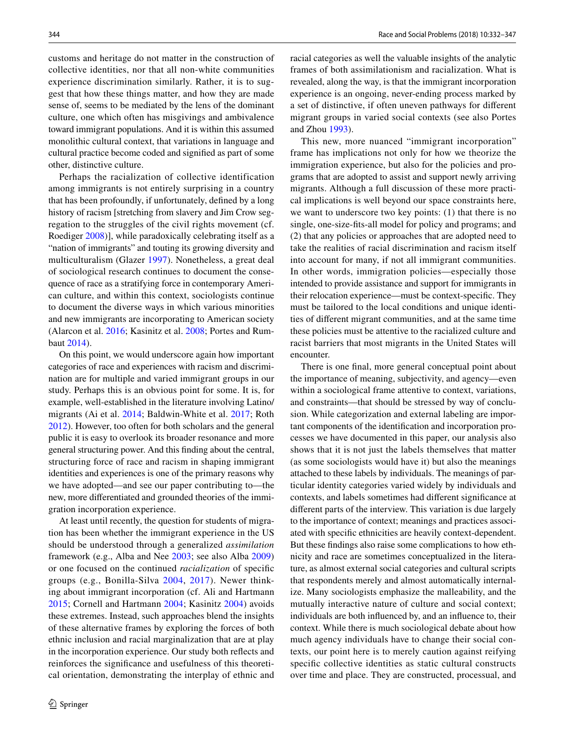customs and heritage do not matter in the construction of collective identities, nor that all non-white communities experience discrimination similarly. Rather, it is to suggest that how these things matter, and how they are made sense of, seems to be mediated by the lens of the dominant culture, one which often has misgivings and ambivalence toward immigrant populations. And it is within this assumed monolithic cultural context, that variations in language and cultural practice become coded and signified as part of some other, distinctive culture.

Perhaps the racialization of collective identification among immigrants is not entirely surprising in a country that has been profoundly, if unfortunately, defined by a long history of racism [stretching from slavery and Jim Crow segregation to the struggles of the civil rights movement (cf. Roediger [2008](#page-14-41))], while paradoxically celebrating itself as a "nation of immigrants" and touting its growing diversity and multiculturalism (Glazer [1997](#page-13-29)). Nonetheless, a great deal of sociological research continues to document the consequence of race as a stratifying force in contemporary American culture, and within this context, sociologists continue to document the diverse ways in which various minorities and new immigrants are incorporating to American society (Alarcon et al. [2016;](#page-13-8) Kasinitz et al. [2008;](#page-14-25) Portes and Rumbaut [2014](#page-14-12)).

On this point, we would underscore again how important categories of race and experiences with racism and discrimination are for multiple and varied immigrant groups in our study. Perhaps this is an obvious point for some. It is, for example, well-established in the literature involving Latino/ migrants (Ai et al. [2014;](#page-13-19) Baldwin-White et al. [2017;](#page-13-3) Roth [2012](#page-14-3)). However, too often for both scholars and the general public it is easy to overlook its broader resonance and more general structuring power. And this finding about the central, structuring force of race and racism in shaping immigrant identities and experiences is one of the primary reasons why we have adopted—and see our paper contributing to—the new, more differentiated and grounded theories of the immigration incorporation experience.

At least until recently, the question for students of migration has been whether the immigrant experience in the US should be understood through a generalized *assimilation* framework (e.g., Alba and Nee [2003;](#page-13-9) see also Alba [2009\)](#page-13-10) or one focused on the continued *racialization* of specific groups (e.g., Bonilla-Silva [2004](#page-13-11), [2017\)](#page-13-12). Newer thinking about immigrant incorporation (cf. Ali and Hartmann [2015](#page-13-7); Cornell and Hartmann [2004](#page-13-13); Kasinitz [2004\)](#page-13-5) avoids these extremes. Instead, such approaches blend the insights of these alternative frames by exploring the forces of both ethnic inclusion and racial marginalization that are at play in the incorporation experience. Our study both reflects and reinforces the significance and usefulness of this theoretical orientation, demonstrating the interplay of ethnic and racial categories as well the valuable insights of the analytic frames of both assimilationism and racialization. What is revealed, along the way, is that the immigrant incorporation experience is an ongoing, never-ending process marked by a set of distinctive, if often uneven pathways for different migrant groups in varied social contexts (see also Portes and Zhou [1993](#page-14-10)).

This new, more nuanced "immigrant incorporation" frame has implications not only for how we theorize the immigration experience, but also for the policies and programs that are adopted to assist and support newly arriving migrants. Although a full discussion of these more practical implications is well beyond our space constraints here, we want to underscore two key points: (1) that there is no single, one-size-fits-all model for policy and programs; and (2) that any policies or approaches that are adopted need to take the realities of racial discrimination and racism itself into account for many, if not all immigrant communities. In other words, immigration policies—especially those intended to provide assistance and support for immigrants in their relocation experience—must be context-specific. They must be tailored to the local conditions and unique identities of different migrant communities, and at the same time these policies must be attentive to the racialized culture and racist barriers that most migrants in the United States will encounter.

There is one final, more general conceptual point about the importance of meaning, subjectivity, and agency—even within a sociological frame attentive to context, variations, and constraints—that should be stressed by way of conclusion. While categorization and external labeling are important components of the identification and incorporation processes we have documented in this paper, our analysis also shows that it is not just the labels themselves that matter (as some sociologists would have it) but also the meanings attached to these labels by individuals. The meanings of particular identity categories varied widely by individuals and contexts, and labels sometimes had different significance at different parts of the interview. This variation is due largely to the importance of context; meanings and practices associated with specific ethnicities are heavily context-dependent. But these findings also raise some complications to how ethnicity and race are sometimes conceptualized in the literature, as almost external social categories and cultural scripts that respondents merely and almost automatically internalize. Many sociologists emphasize the malleability, and the mutually interactive nature of culture and social context; individuals are both influenced by, and an influence to, their context. While there is much sociological debate about how much agency individuals have to change their social contexts, our point here is to merely caution against reifying specific collective identities as static cultural constructs over time and place. They are constructed, processual, and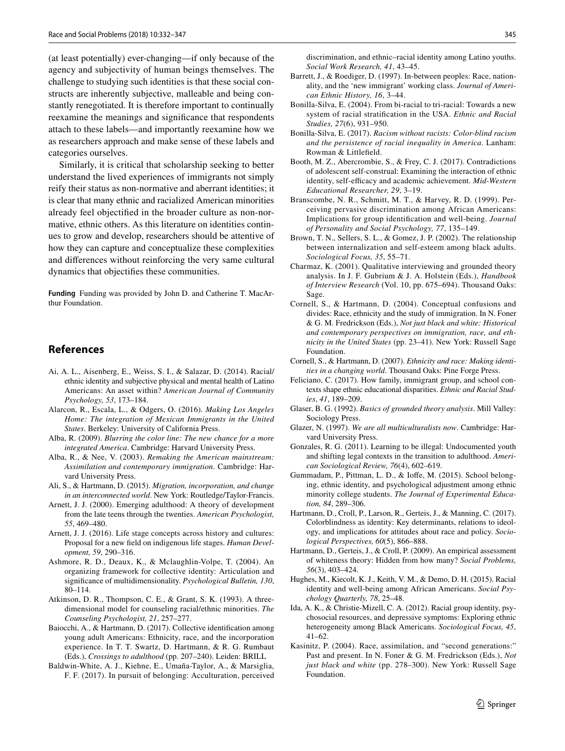(at least potentially) ever-changing—if only because of the agency and subjectivity of human beings themselves. The challenge to studying such identities is that these social constructs are inherently subjective, malleable and being constantly renegotiated. It is therefore important to continually reexamine the meanings and significance that respondents attach to these labels—and importantly reexamine how we as researchers approach and make sense of these labels and categories ourselves.

Similarly, it is critical that scholarship seeking to better understand the lived experiences of immigrants not simply reify their status as non-normative and aberrant identities; it is clear that many ethnic and racialized American minorities already feel objectified in the broader culture as non-normative, ethnic others. As this literature on identities continues to grow and develop, researchers should be attentive of how they can capture and conceptualize these complexities and differences without reinforcing the very same cultural dynamics that objectifies these communities.

**Funding** Funding was provided by John D. and Catherine T. MacArthur Foundation.

#### **References**

- <span id="page-13-19"></span>Ai, A. L., Aisenberg, E., Weiss, S. I., & Salazar, D. (2014). Racial/ ethnic identity and subjective physical and mental health of Latino Americans: An asset within? *American Journal of Community Psychology, 53*, 173–184.
- <span id="page-13-8"></span>Alarcon, R., Escala, L., & Odgers, O. (2016). *Making Los Angeles Home: The integration of Mexican Immigrants in the United States*. Berkeley: University of California Press.
- <span id="page-13-10"></span>Alba, R. (2009). *Blurring the color line: The new chance for a more integrated America*. Cambridge: Harvard University Press.
- <span id="page-13-9"></span>Alba, R., & Nee, V. (2003). *Remaking the American mainstream: Assimilation and contemporary immigration*. Cambridge: Harvard University Press.
- <span id="page-13-7"></span>Ali, S., & Hartmann, D. (2015). *Migration, incorporation, and change in an interconnected world*. New York: Routledge/Taylor-Francis.
- <span id="page-13-0"></span>Arnett, J. J. (2000). Emerging adulthood: A theory of development from the late teens through the twenties. *American Psychologist, 55*, 469–480.
- <span id="page-13-1"></span>Arnett, J. J. (2016). Life stage concepts across history and cultures: Proposal for a new field on indigenous life stages. *Human Development, 59*, 290–316.
- <span id="page-13-24"></span>Ashmore, R. D., Deaux, K., & Mclaughlin-Volpe, T. (2004). An organizing framework for collective identity: Articulation and significance of multidimensionality. *Psychological Bulletin, 130*, 80–114.
- <span id="page-13-15"></span>Atkinson, D. R., Thompson, C. E., & Grant, S. K. (1993). A threedimensional model for counseling racial/ethnic minorities. *The Counseling Psychologist, 21*, 257–277.
- <span id="page-13-6"></span>Baiocchi, A., & Hartmann, D. (2017). Collective identification among young adult Americans: Ethnicity, race, and the incorporation experience. In T. T. Swartz, D. Hartmann, & R. G. Rumbaut (Eds.), *Crossings to adulthood* (pp. 207–240). Leiden: BRILL
- <span id="page-13-3"></span>Baldwin-White, A. J., Kiehne, E., Umaña-Taylor, A., & Marsiglia, F. F. (2017). In pursuit of belonging: Acculturation, perceived

discrimination, and ethnic–racial identity among Latino youths. *Social Work Research, 41*, 43–45.

- <span id="page-13-4"></span>Barrett, J., & Roediger, D. (1997). In-between peoples: Race, nationality, and the 'new immigrant' working class. *Journal of American Ethnic History, 16*, 3–44.
- <span id="page-13-11"></span>Bonilla-Silva, E. (2004). From bi-racial to tri-racial: Towards a new system of racial stratification in the USA. *Ethnic and Racial Studies, 27*(6), 931–950.
- <span id="page-13-12"></span>Bonilla-Silva, E. (2017). *Racism without racists: Color-blind racism and the persistence of racial inequality in America*. Lanham: Rowman & Littlefield.
- <span id="page-13-16"></span>Booth, M. Z., Abercrombie, S., & Frey, C. J. (2017). Contradictions of adolescent self-construal: Examining the interaction of ethnic identity, self-efficacy and academic achievement. *Mid-Western Educational Researcher, 29*, 3–19.
- <span id="page-13-22"></span>Branscombe, N. R., Schmitt, M. T., & Harvey, R. D. (1999). Perceiving pervasive discrimination among African Americans: Implications for group identification and well-being. *Journal of Personality and Social Psychology, 77*, 135–149.
- <span id="page-13-23"></span>Brown, T. N., Sellers, S. L., & Gomez, J. P. (2002). The relationship between internalization and self-esteem among black adults. *Sociological Focus, 35*, 55–71.
- <span id="page-13-26"></span>Charmaz, K. (2001). Qualitative interviewing and grounded theory analysis. In J. F. Gubrium & J. A. Holstein (Eds.), *Handbook of Interview Research* (Vol. 10, pp. 675–694). Thousand Oaks: Sage.
- <span id="page-13-13"></span>Cornell, S., & Hartmann, D. (2004). Conceptual confusions and divides: Race, ethnicity and the study of immigration. In N. Foner & G. M. Fredrickson (Eds.), *Not just black and white: Historical and contemporary perspectives on immigration, race, and ethnicity in the United States* (pp. 23–41). New York: Russell Sage Foundation.
- <span id="page-13-14"></span>Cornell, S., & Hartmann, D. (2007). *Ethnicity and race: Making identities in a changing world*. Thousand Oaks: Pine Forge Press.
- <span id="page-13-17"></span>Feliciano, C. (2017). How family, immigrant group, and school contexts shape ethnic educational disparities. *Ethnic and Racial Studies*, *41*, 189–209.
- <span id="page-13-27"></span>Glaser, B. G. (1992). *Basics of grounded theory analysis*. Mill Valley: Sociology Press.
- <span id="page-13-29"></span>Glazer, N. (1997). *We are all multiculturalists now*. Cambridge: Harvard University Press.
- <span id="page-13-28"></span>Gonzales, R. G. (2011). Learning to be illegal: Undocumented youth and shifting legal contexts in the transition to adulthood. *American Sociological Review, 76*(4), 602–619.
- <span id="page-13-21"></span>Gummadam, P., Pittman, L. D., & Ioffe, M. (2015). School belonging, ethnic identity, and psychological adjustment among ethnic minority college students. *The Journal of Experimental Education, 84*, 289–306.
- <span id="page-13-25"></span>Hartmann, D., Croll, P., Larson, R., Gerteis, J., & Manning, C. (2017). Colorblindness as identity: Key determinants, relations to ideology, and implications for attitudes about race and policy. *Sociological Perspectives, 60*(5), 866–888.
- <span id="page-13-2"></span>Hartmann, D., Gerteis, J., & Croll, P. (2009). An empirical assessment of whiteness theory: Hidden from how many? *Social Problems, 56*(3), 403–424.
- <span id="page-13-18"></span>Hughes, M., Kiecolt, K. J., Keith, V. M., & Demo, D. H. (2015). Racial identity and well-being among African Americans. *Social Psychology Quarterly, 78*, 25–48.
- <span id="page-13-20"></span>Ida, A. K., & Christie-Mizell, C. A. (2012). Racial group identity, psychosocial resources, and depressive symptoms: Exploring ethnic heterogeneity among Black Americans. *Sociological Focus, 45*, 41–62.
- <span id="page-13-5"></span>Kasinitz, P. (2004). Race, assimilation, and "second generations:" Past and present. In N. Foner & G. M. Fredrickson (Eds.), *Not just black and white* (pp. 278–300). New York: Russell Sage Foundation.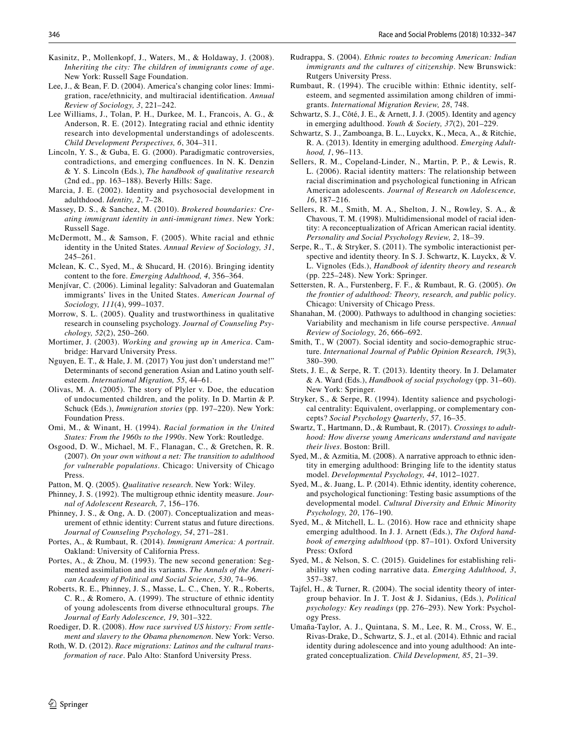- <span id="page-14-25"></span>Kasinitz, P., Mollenkopf, J., Waters, M., & Holdaway, J. (2008). *Inheriting the city: The children of immigrants come of age*. New York: Russell Sage Foundation.
- <span id="page-14-4"></span>Lee, J., & Bean, F. D. (2004). America's changing color lines: Immigration, race/ethnicity, and multiracial identification. *Annual Review of Sociology, 3*, 221–242.
- <span id="page-14-17"></span>Lee Williams, J., Tolan, P. H., Durkee, M. I., Francois, A. G., & Anderson, R. E. (2012). Integrating racial and ethnic identity research into developmental understandings of adolescents. *Child Development Perspectives, 6*, 304–311.
- <span id="page-14-31"></span>Lincoln, Y. S., & Guba, E. G. (2000). Paradigmatic controversies, contradictions, and emerging confluences. In N. K. Denzin & Y. S. Lincoln (Eds.), *The handbook of qualitative research* (2nd ed., pp. 163–188). Beverly Hills: Sage.
- <span id="page-14-15"></span>Marcia, J. E. (2002). Identity and psychosocial development in adulthdood. *Identity, 2*, 7–28.
- <span id="page-14-37"></span>Massey, D. S., & Sanchez, M. (2010). *Brokered boundaries: Creating immigrant identity in anti-immigrant times*. New York: Russell Sage.
- <span id="page-14-2"></span>McDermott, M., & Samson, F. (2005). White racial and ethnic identity in the United States. *Annual Review of Sociology, 31*, 245–261.
- <span id="page-14-35"></span>Mclean, K. C., Syed, M., & Shucard, H. (2016). Bringing identity content to the fore. *Emerging Adulthood, 4*, 356–364.
- <span id="page-14-38"></span>Menjívar, C. (2006). Liminal legality: Salvadoran and Guatemalan immigrants' lives in the United States. *American Journal of Sociology, 111*(4), 999–1037.
- <span id="page-14-32"></span>Morrow, S. L. (2005). Quality and trustworthiness in qualitative research in counseling psychology. *Journal of Counseling Psychology, 52*(2), 250–260.
- <span id="page-14-26"></span>Mortimer, J. (2003). *Working and growing up in America*. Cambridge: Harvard University Press.
- <span id="page-14-19"></span>Nguyen, E. T., & Hale, J. M. (2017) You just don't understand me!" Determinants of second generation Asian and Latino youth selfesteem. *International Migration, 55*, 44–61.
- <span id="page-14-39"></span>Olivas, M. A. (2005). The story of Plyler v. Doe, the education of undocumented children, and the polity. In D. Martin & P. Schuck (Eds.), *Immigration stories* (pp. 197–220). New York: Foundation Press.
- <span id="page-14-40"></span>Omi, M., & Winant, H. (1994). *Racial formation in the United States: From the 1960s to the 1990s*. New York: Routledge.
- <span id="page-14-24"></span>Osgood, D. W., Michael, M. F., Flanagan, C., & Gretchen, R. R. (2007). *On your own without a net: The transition to adulthood for vulnerable populations*. Chicago: University of Chicago Press.
- <span id="page-14-33"></span>Patton, M. Q. (2005). *Qualitative research*. New York: Wiley.
- <span id="page-14-16"></span>Phinney, J. S. (1992). The multigroup ethnic identity measure. *Journal of Adolescent Research, 7*, 156–176.
- <span id="page-14-11"></span>Phinney, J. S., & Ong, A. D. (2007). Conceptualization and measurement of ethnic identity: Current status and future directions. *Journal of Counseling Psychology, 54*, 271–281.
- <span id="page-14-12"></span>Portes, A., & Rumbaut, R. (2014). *Immigrant America: A portrait*. Oakland: University of California Press.
- <span id="page-14-10"></span>Portes, A., & Zhou, M. (1993). The new second generation: Segmented assimilation and its variants. *The Annals of the American Academy of Political and Social Science, 530*, 74–96.
- <span id="page-14-18"></span>Roberts, R. E., Phinney, J. S., Masse, L. C., Chen, Y. R., Roberts, C. R., & Romero, A. (1999). The structure of ethnic identity of young adolescents from diverse ethnocultural groups. *The Journal of Early Adolescence, 19*, 301–322.
- <span id="page-14-41"></span>Roediger, D. R. (2008). *How race survived US history: From settlement and slavery to the Obama phenomenon*. New York: Verso.
- <span id="page-14-3"></span>Roth, W. D. (2012). *Race migrations: Latinos and the cultural transformation of race*. Palo Alto: Stanford University Press.
- <span id="page-14-5"></span>Rudrappa, S. (2004). *Ethnic routes to becoming American: Indian immigrants and the cultures of citizenship*. New Brunswick: Rutgers University Press.
- <span id="page-14-22"></span>Rumbaut, R. (1994). The crucible within: Ethnic identity, selfesteem, and segmented assimilation among children of immigrants. *International Migration Review, 28*, 748.
- <span id="page-14-0"></span>Schwartz, S. J., Côté, J. E., & Arnett, J. J. (2005). Identity and agency in emerging adulthood. *Youth & Society, 37*(2), 201–229.
- <span id="page-14-1"></span>Schwartz, S. J., Zamboanga, B. L., Luyckx, K., Meca, A., & Ritchie, R. A. (2013). Identity in emerging adulthood. *Emerging Adulthood, 1*, 96–113.
- <span id="page-14-21"></span>Sellers, R. M., Copeland-Linder, N., Martin, P. P., & Lewis, R. L. (2006). Racial identity matters: The relationship between racial discrimination and psychological functioning in African American adolescents. *Journal of Research on Adolescence, 16*, 187–216.
- <span id="page-14-20"></span>Sellers, R. M., Smith, M. A., Shelton, J. N., Rowley, S. A., & Chavous, T. M. (1998). Multidimensional model of racial identity: A reconceptualization of African American racial identity. *Personality and Social Psychology Review, 2*, 18–39.
- <span id="page-14-27"></span>Serpe, R., T., & Stryker, S. (2011). The symbolic interactionist perspective and identity theory. In S. J. Schwartz, K. Luyckx, & V. L. Vignoles (Eds.), *Handbook of identity theory and research* (pp. 225–248). New York: Springer.
- <span id="page-14-14"></span>Settersten, R. A., Furstenberg, F. F., & Rumbaut, R. G. (2005). *On the frontier of adulthood: Theory, research, and public policy*. Chicago: University of Chicago Press.
- <span id="page-14-13"></span>Shanahan, M. (2000). Pathways to adulthood in changing societies: Variability and mechanism in life course perspective. *Annual Review of Sociology, 26*, 666–692.
- <span id="page-14-23"></span>Smith, T., W (2007). Social identity and socio-demographic structure. *International Journal of Public Opinion Research, 19*(3), 380–390.
- <span id="page-14-28"></span>Stets, J. E., & Serpe, R. T. (2013). Identity theory. In J. Delamater & A. Ward (Eds.), *Handbook of social psychology* (pp. 31–60). New York: Springer.
- <span id="page-14-29"></span>Stryker, S., & Serpe, R. (1994). Identity salience and psychological centrality: Equivalent, overlapping, or complementary concepts? *Social Psychology Quarterly*, *57*, 16–35.
- <span id="page-14-9"></span>Swartz, T., Hartmann, D., & Rumbaut, R. (2017). *Crossings to adulthood: How diverse young Americans understand and navigate their lives*. Boston: Brill.
- <span id="page-14-36"></span>Syed, M., & Azmitia, M. (2008). A narrative approach to ethnic identity in emerging adulthood: Bringing life to the identity status model. *Developmental Psychology, 44*, 1012–1027.
- <span id="page-14-6"></span>Syed, M., &. Juang, L. P. (2014). Ethnic identity, identity coherence, and psychological functioning: Testing basic assumptions of the developmental model. *Cultural Diversity and Ethnic Minority Psychology, 20*, 176–190.
- <span id="page-14-7"></span>Syed, M., & Mitchell, L. L. (2016). How race and ethnicity shape emerging adulthood. In J. J. Arnett (Eds.), *The Oxford handbook of emerging adulthood* (pp. 87–101). Oxford University Press: Oxford
- <span id="page-14-34"></span>Syed, M., & Nelson, S. C. (2015). Guidelines for establishing reliability when coding narrative data. *Emerging Adulthood, 3*, 357–387.
- <span id="page-14-30"></span>Tajfel, H., & Turner, R. (2004). The social identity theory of intergroup behavior. In J. T. Jost & J. Sidanius, (Eds.), *Political psychology: Key readings* (pp. 276–293). New York: Psychology Press.
- <span id="page-14-8"></span>Umaña-Taylor, A. J., Quintana, S. M., Lee, R. M., Cross, W. E., Rivas-Drake, D., Schwartz, S. J., et al. (2014). Ethnic and racial identity during adolescence and into young adulthood: An integrated conceptualization. *Child Development, 85*, 21–39.